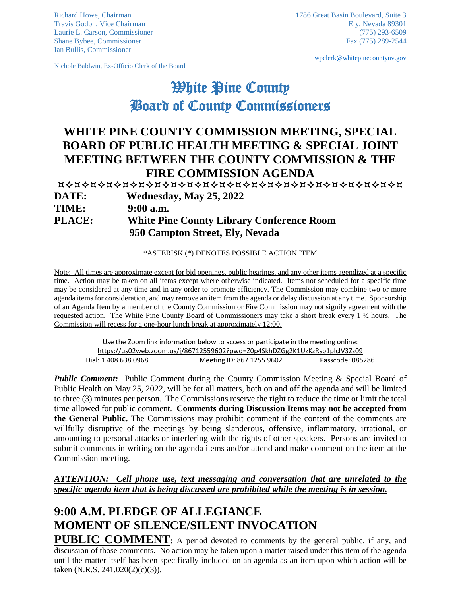Ian Bullis, Commissioner

Nichole Baldwin, Ex-Officio Clerk of the Board

[wpclerk@whitepinecountynv.gov](mailto:wpclerk@whitepinecountynv.gov)

## **White Pine County** Board of County Commissioners

## **WHITE PINE COUNTY COMMISSION MEETING, SPECIAL BOARD OF PUBLIC HEALTH MEETING & SPECIAL JOINT MEETING BETWEEN THE COUNTY COMMISSION & THE FIRE COMMISSION AGENDA**

 **DATE: Wednesday, May 25, 2022 TIME: 9:00 a.m. PLACE: White Pine County Library Conference Room 950 Campton Street, Ely, Nevada** 

\*ASTERISK (\*) DENOTES POSSIBLE ACTION ITEM

Note: All times are approximate except for bid openings, public hearings, and any other items agendized at a specific time. Action may be taken on all items except where otherwise indicated. Items not scheduled for a specific time may be considered at any time and in any order to promote efficiency. The Commission may combine two or more agenda items for consideration, and may remove an item from the agenda or delay discussion at any time. Sponsorship of an Agenda Item by a member of the County Commission or Fire Commission may not signify agreement with the requested action. The White Pine County Board of Commissioners may take a short break every 1 ½ hours. The Commission will recess for a one-hour lunch break at approximately 12:00.

Use the Zoom link information below to access or participate in the meeting online: <https://us02web.zoom.us/j/86712559602?pwd=Z0p4SkhDZGg2K1UzKzRsb1plclV3Zz09> Dial: 1 408 638 0968 Meeting ID: 867 1255 9602 Passcode: 085286

*Public Comment:* Public Comment during the County Commission Meeting & Special Board of Public Health on May 25, 2022, will be for all matters, both on and off the agenda and will be limited to three (3) minutes per person. The Commissions reserve the right to reduce the time or limit the total time allowed for public comment. **Comments during Discussion Items may not be accepted from the General Public.** The Commissions may prohibit comment if the content of the comments are willfully disruptive of the meetings by being slanderous, offensive, inflammatory, irrational, or amounting to personal attacks or interfering with the rights of other speakers. Persons are invited to submit comments in writing on the agenda items and/or attend and make comment on the item at the Commission meeting.

*ATTENTION: Cell phone use, text messaging and conversation that are unrelated to the specific agenda item that is being discussed are prohibited while the meeting is in session.* 

## **9:00 A.M. PLEDGE OF ALLEGIANCE MOMENT OF SILENCE/SILENT INVOCATION**

**PUBLIC COMMENT:** A period devoted to comments by the general public, if any, and discussion of those comments. No action may be taken upon a matter raised under this item of the agenda until the matter itself has been specifically included on an agenda as an item upon which action will be taken (N.R.S. 241.020(2)(c)(3)).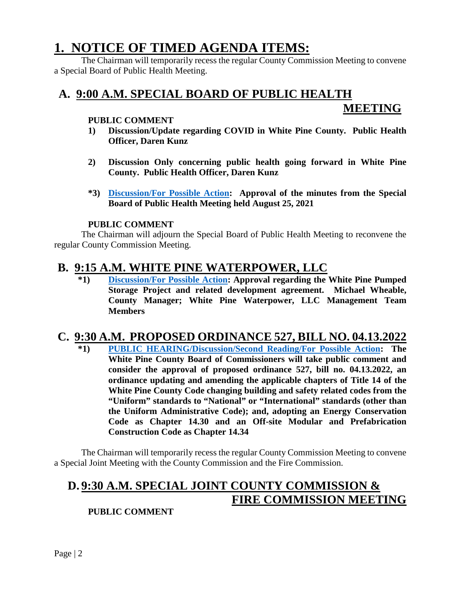## **1. NOTICE OF TIMED AGENDA ITEMS:**

The Chairman will temporarily recess the regular County Commission Meeting to convene a Special Board of Public Health Meeting.

#### **A. 9:00 A.M. SPECIAL BOARD OF PUBLIC HEALTH**

## **MEETING**

#### **PUBLIC COMMENT**

- **1) Discussion/Update regarding COVID in White Pine County. Public Health Officer, Daren Kunz**
- **2) Discussion Only concerning public health going forward in White Pine County. Public Health Officer, Daren Kunz**
- **\*3) [Discussion/For Possible Action:](https://www.whitepinecounty.net/DocumentCenter/View/8065/1a3) Approval of the minutes from the Special Board of Public Health Meeting held August 25, 2021**

#### **PUBLIC COMMENT**

The Chairman will adjourn the Special Board of Public Health Meeting to reconvene the regular County Commission Meeting.

#### **B. 9:15 A.M. WHITE PINE WATERPOWER, LLC**

**\*1) [Discussion/For Possible Action:](https://www.whitepinecounty.net/DocumentCenter/View/8066/1b1) Approval regarding the White Pine Pumped Storage Project and related development agreement. Michael Wheable, County Manager; White Pine Waterpower, LLC Management Team Members**

# **C. 9:30 A.M. PROPOSED ORDINANCE 527, BILL NO. 04.13.2022**

**\*1) [PUBLIC HEARING/Discussion/Second Reading/For Possible Action:](https://www.whitepinecounty.net/DocumentCenter/View/8067/1c1) The White Pine County Board of Commissioners will take public comment and consider the approval of proposed ordinance 527, bill no. 04.13.2022, an ordinance updating and amending the applicable chapters of Title 14 of the White Pine County Code changing building and safety related codes from the "Uniform" standards to "National" or "International" standards (other than the Uniform Administrative Code); and, adopting an Energy Conservation Code as Chapter 14.30 and an Off-site Modular and Prefabrication Construction Code as Chapter 14.34**

The Chairman will temporarily recess the regular County Commission Meeting to convene a Special Joint Meeting with the County Commission and the Fire Commission.

## **D. 9:30 A.M. SPECIAL JOINT COUNTY COMMISSION & FIRE COMMISSION MEETING**

#### **PUBLIC COMMENT**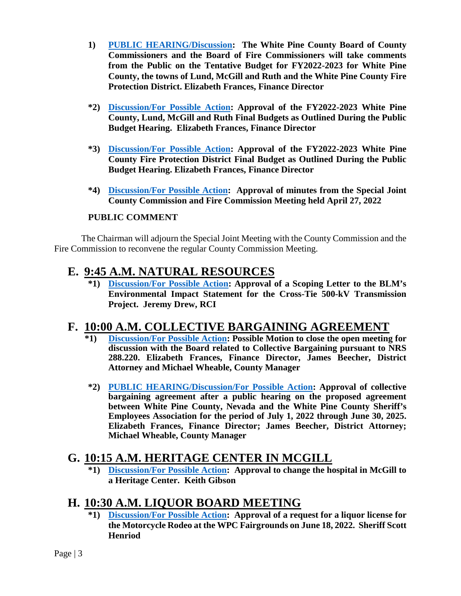- **1) [PUBLIC HEARING/Discussion:](https://www.whitepinecounty.net/DocumentCenter/View/8068/1d1) The White Pine County Board of County Commissioners and the Board of Fire Commissioners will take comments from the Public on the Tentative Budget for FY2022-2023 for White Pine County, the towns of Lund, McGill and Ruth and the White Pine County Fire Protection District. Elizabeth Frances, Finance Director**
- **\*2) [Discussion/For Possible Action:](https://www.whitepinecounty.net/DocumentCenter/View/8069/1d2) Approval of the FY2022-2023 White Pine County, Lund, McGill and Ruth Final Budgets as Outlined During the Public Budget Hearing. Elizabeth Frances, Finance Director**
- **\*3) [Discussion/For Possible Action:](https://www.whitepinecounty.net/DocumentCenter/View/8070/1d3) Approval of the FY2022-2023 White Pine County Fire Protection District Final Budget as Outlined During the Public Budget Hearing. Elizabeth Frances, Finance Director**
- **\*4) [Discussion/For Possible Action:](https://www.whitepinecounty.net/DocumentCenter/View/8071/1d4) Approval of minutes from the Special Joint County Commission and Fire Commission Meeting held April 27, 2022**

#### **PUBLIC COMMENT**

The Chairman will adjourn the Special Joint Meeting with the County Commission and the Fire Commission to reconvene the regular County Commission Meeting.

#### **E. 9:45 A.M. NATURAL RESOURCES**

**\*1) [Discussion/For Possible Action:](https://www.whitepinecounty.net/DocumentCenter/View/8072/1e1) Approval of a Scoping Letter to the BLM's Environmental Impact Statement for the Cross-Tie 500-kV Transmission Project. Jeremy Drew, RCI**

### **F. 10:00 A.M. COLLECTIVE BARGAINING AGREEMENT**

- **\*1) [Discussion/For Possible Action:](https://www.whitepinecounty.net/DocumentCenter/View/8073/1f1) Possible Motion to close the open meeting for discussion with the Board related to Collective Bargaining pursuant to NRS 288.220. Elizabeth Frances, Finance Director, James Beecher, District Attorney and Michael Wheable, County Manager**
- **\*2) [PUBLIC HEARING/Discussion/For Possible Action:](https://www.whitepinecounty.net/DocumentCenter/View/8074/1f2) Approval of collective bargaining agreement after a public hearing on the proposed agreement between White Pine County, Nevada and the White Pine County Sheriff's Employees Association for the period of July 1, 2022 through June 30, 2025. Elizabeth Frances, Finance Director; James Beecher, District Attorney; Michael Wheable, County Manager**

### **G. 10:15 A.M. HERITAGE CENTER IN MCGILL**

**\*1) [Discussion/For Possible Action:](https://www.whitepinecounty.net/DocumentCenter/View/8075/1g1) Approval to change the hospital in McGill to a Heritage Center. Keith Gibson**

### **H. 10:30 A.M. LIQUOR BOARD MEETING**

**\*1) [Discussion/For Possible Action:](https://www.whitepinecounty.net/DocumentCenter/View/8076/1h1) Approval of a request for a liquor license for the Motorcycle Rodeo at the WPC Fairgrounds on June 18, 2022. Sheriff Scott Henriod**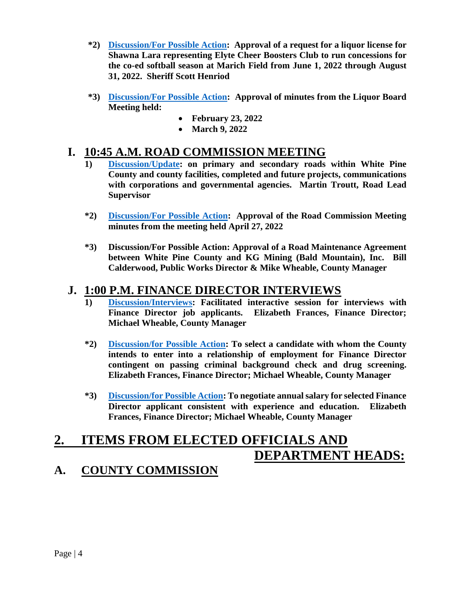- **\*2) [Discussion/For Possible Action:](https://www.whitepinecounty.net/DocumentCenter/View/8077/1h2) Approval of a request for a liquor license for Shawna Lara representing Elyte Cheer Boosters Club to run concessions for the co-ed softball season at Marich Field from June 1, 2022 through August 31, 2022. Sheriff Scott Henriod**
- **\*3) [Discussion/For Possible Action:](https://www.whitepinecounty.net/DocumentCenter/View/8078/1h3) Approval of minutes from the Liquor Board Meeting held:**
	- **February 23, 2022**
	- **March 9, 2022**

### **I. 10:45 A.M. ROAD COMMISSION MEETING**

- **1) [Discussion/Update:](https://www.whitepinecounty.net/DocumentCenter/View/8079/1i1) on primary and secondary roads within White Pine County and county facilities, completed and future projects, communications with corporations and governmental agencies. Martin Troutt, Road Lead Supervisor**
- **\*2) [Discussion/For Possible Action:](https://www.whitepinecounty.net/DocumentCenter/View/8080/1i2) Approval of the Road Commission Meeting minutes from the meeting held April 27, 2022**
- **\*3) Discussion/For Possible Action: Approval of a Road Maintenance Agreement between White Pine County and KG Mining (Bald Mountain), Inc. Bill Calderwood, Public Works Director & Mike Wheable, County Manager**

### **J. 1:00 P.M. FINANCE DIRECTOR INTERVIEWS**

- **1) [Discussion/Interviews:](https://www.whitepinecounty.net/DocumentCenter/View/8081/1j1) Facilitated interactive session for interviews with Finance Director job applicants. Elizabeth Frances, Finance Director; Michael Wheable, County Manager**
- **\*2) [Discussion/for Possible Action:](https://www.whitepinecounty.net/DocumentCenter/View/8082/1j2) To select a candidate with whom the County intends to enter into a relationship of employment for Finance Director contingent on passing criminal background check and drug screening. Elizabeth Frances, Finance Director; Michael Wheable, County Manager**
- **\*3) [Discussion/for Possible Action:](https://www.whitepinecounty.net/DocumentCenter/View/8083/1j3) To negotiate annual salary for selected Finance Director applicant consistent with experience and education. Elizabeth Frances, Finance Director; Michael Wheable, County Manager**

## **2. ITEMS FROM ELECTED OFFICIALS AND DEPARTMENT HEADS:**

## **A. COUNTY COMMISSION**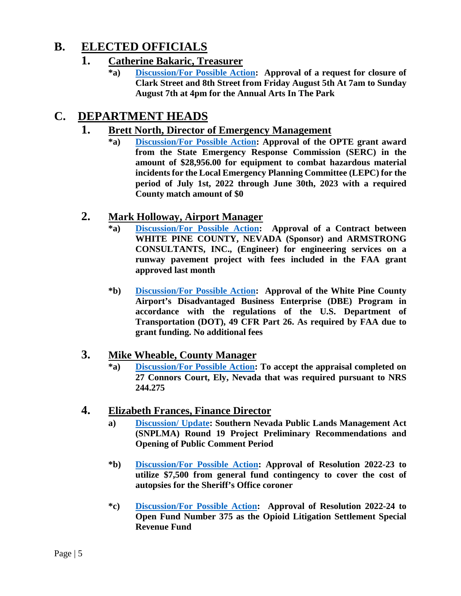## **B. ELECTED OFFICIALS**

#### **1. Catherine Bakaric, Treasurer**

**\*a) [Discussion/For Possible Action:](https://www.whitepinecounty.net/DocumentCenter/View/8084/2b1a) Approval of a request for closure of Clark Street and 8th Street from Friday August 5th At 7am to Sunday August 7th at 4pm for the Annual Arts In The Park**

### **C. DEPARTMENT HEADS**

#### **1. Brett North, Director of Emergency Management**

**\*a) [Discussion/For Possible Action:](https://www.whitepinecounty.net/DocumentCenter/View/8085/2c1a) Approval of the OPTE grant award from the State Emergency Response Commission (SERC) in the amount of \$28,956.00 for equipment to combat hazardous material incidents for the Local Emergency Planning Committee (LEPC) for the period of July 1st, 2022 through June 30th, 2023 with a required County match amount of \$0**

#### **2. Mark Holloway, Airport Manager**

- **\*a) [Discussion/For Possible Action:](https://www.whitepinecounty.net/DocumentCenter/View/8085/2c1a) Approval of a Contract between WHITE PINE COUNTY, NEVADA (Sponsor) and ARMSTRONG CONSULTANTS, INC., (Engineer) for engineering services on a runway pavement project with fees included in the FAA grant approved last month**
- **\*b) [Discussion/For Possible Action:](https://www.whitepinecounty.net/DocumentCenter/View/8087/2c2b) Approval of the White Pine County Airport's Disadvantaged Business Enterprise (DBE) Program in accordance with the regulations of the U.S. Department of Transportation (DOT), 49 CFR Part 26. As required by FAA due to grant funding. No additional fees**

#### **3. Mike Wheable, County Manager**

**\*a) [Discussion/For Possible Action:](https://www.whitepinecounty.net/DocumentCenter/View/8088/2c3a) To accept the appraisal completed on 27 Connors Court, Ely, Nevada that was required pursuant to NRS 244.275**

#### **4. Elizabeth Frances, Finance Director**

- **a) [Discussion/ Update:](https://www.whitepinecounty.net/DocumentCenter/View/8089/2c4a) Southern Nevada Public Lands Management Act (SNPLMA) Round 19 Project Preliminary Recommendations and Opening of Public Comment Period**
- **\*b) [Discussion/For Possible Action:](https://www.whitepinecounty.net/DocumentCenter/View/8090/2c4b) Approval of Resolution 2022-23 to utilize \$7,500 from general fund contingency to cover the cost of autopsies for the Sheriff's Office coroner**
- **\*c) [Discussion/For Possible Action:](https://www.whitepinecounty.net/DocumentCenter/View/8091/2c4c) Approval of Resolution 2022-24 to Open Fund Number 375 as the Opioid Litigation Settlement Special Revenue Fund**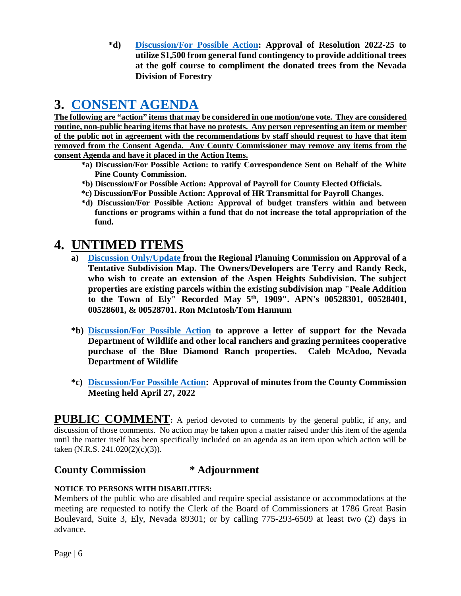**\*d) [Discussion/For Possible Action:](https://www.whitepinecounty.net/DocumentCenter/View/8092/2c4d) Approval of Resolution 2022-25 to utilize \$1,500 from general fund contingency to provide additional trees at the golf course to compliment the donated trees from the Nevada Division of Forestry**

## **3. [CONSENT AGENDA](https://www.whitepinecounty.net/DocumentCenter/View/8093/3)**

**The following are "action" items that may be considered in one motion/one vote. They are considered routine, non-public hearing items that have no protests. Any person representing an item or member of the public not in agreement with the recommendations by staff should request to have that item removed from the Consent Agenda. Any County Commissioner may remove any items from the consent Agenda and have it placed in the Action Items.**

- **\*a) Discussion/For Possible Action: to ratify Correspondence Sent on Behalf of the White Pine County Commission.**
- **\*b) Discussion/For Possible Action: Approval of Payroll for County Elected Officials.**
- **\*c) Discussion/For Possible Action: Approval of HR Transmittal for Payroll Changes.**
- **\*d) Discussion/For Possible Action: Approval of budget transfers within and between functions or programs within a fund that do not increase the total appropriation of the fund.**

## **4. UNTIMED ITEMS**

- **a) [Discussion Only/Update](https://www.whitepinecounty.net/DocumentCenter/View/8094/4a) from the Regional Planning Commission on Approval of a Tentative Subdivision Map. The Owners/Developers are Terry and Randy Reck, who wish to create an extension of the Aspen Heights Subdivision. The subject properties are existing parcels within the existing subdivision map "Peale Addition to the Town of Ely" Recorded May 5th, 1909". APN's 00528301, 00528401, 00528601, & 00528701. Ron McIntosh/Tom Hannum**
- **\*b) [Discussion/For Possible Action](https://www.whitepinecounty.net/DocumentCenter/View/8095/4b) to approve a letter of support for the Nevada Department of Wildlife and other local ranchers and grazing permitees cooperative purchase of the Blue Diamond Ranch properties. Caleb McAdoo, Nevada Department of Wildlife**
- **\*c) [Discussion/For Possible Action:](https://www.whitepinecounty.net/DocumentCenter/View/8096/4c) Approval of minutes from the County Commission Meeting held April 27, 2022**

**PUBLIC COMMENT:** A period devoted to comments by the general public, if any, and discussion of those comments. No action may be taken upon a matter raised under this item of the agenda until the matter itself has been specifically included on an agenda as an item upon which action will be taken (N.R.S. 241.020(2)(c)(3)).

#### **County Commission \* Adjournment**

#### **NOTICE TO PERSONS WITH DISABILITIES:**

Members of the public who are disabled and require special assistance or accommodations at the meeting are requested to notify the Clerk of the Board of Commissioners at 1786 Great Basin Boulevard, Suite 3, Ely, Nevada 89301; or by calling 775-293-6509 at least two (2) days in advance.